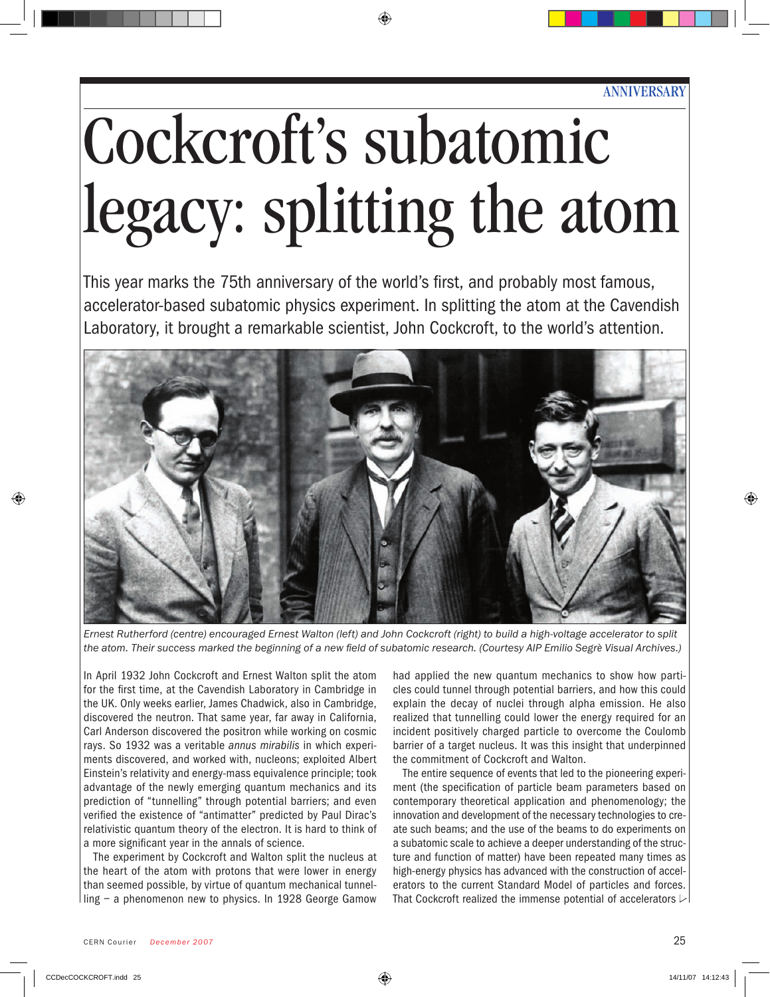# Cockcroft's subatomic legacy: splitting the atom

This year marks the 75th anniversary of the world's first, and probably most famous, accelerator-based subatomic physics experiment. In splitting the atom at the Cavendish Laboratory, it brought a remarkable scientist, John Cockcroft, to the world's attention.



*Ernest Rutherford (centre) encouraged Ernest Walton (left) and John Cockcroft (right) to build a high-voltage accelerator to split the atom. Their success marked the beginning of a new field of subatomic research. (Courtesy AIP Emilio Segrè Visual Archives.)*

In April 1932 John Cockcroft and Ernest Walton split the atom for the first time, at the Cavendish Laboratory in Cambridge in the UK. Only weeks earlier, James Chadwick, also in Cambridge, discovered the neutron. That same year, far away in California, Carl Anderson discovered the positron while working on cosmic rays. So 1932 was a veritable *annus mirabilis* in which experiments discovered, and worked with, nucleons; exploited Albert Einstein's relativity and energy-mass equivalence principle; took advantage of the newly emerging quantum mechanics and its prediction of "tunnelling" through potential barriers; and even verified the existence of "antimatter" predicted by Paul Dirac's relativistic quantum theory of the electron. It is hard to think of a more significant year in the annals of science.

The experiment by Cockcroft and Walton split the nucleus at the heart of the atom with protons that were lower in energy than seemed possible, by virtue of quantum mechanical tunnelling – a phenomenon new to physics. In 1928 George Gamow

had applied the new quantum mechanics to show how particles could tunnel through potential barriers, and how this could explain the decay of nuclei through alpha emission. He also realized that tunnelling could lower the energy required for an incident positively charged particle to overcome the Coulomb barrier of a target nucleus. It was this insight that underpinned the commitment of Cockcroft and Walton.

The entire sequence of events that led to the pioneering experiment (the specification of particle beam parameters based on contemporary theoretical application and phenomenology; the innovation and development of the necessary technologies to create such beams; and the use of the beams to do experiments on a subatomic scale to achieve a deeper understanding of the structure and function of matter) have been repeated many times as high-energy physics has advanced with the construction of accelerators to the current Standard Model of particles and forces. That Cockcroft realized the immense potential of accelerators  $\triangleright$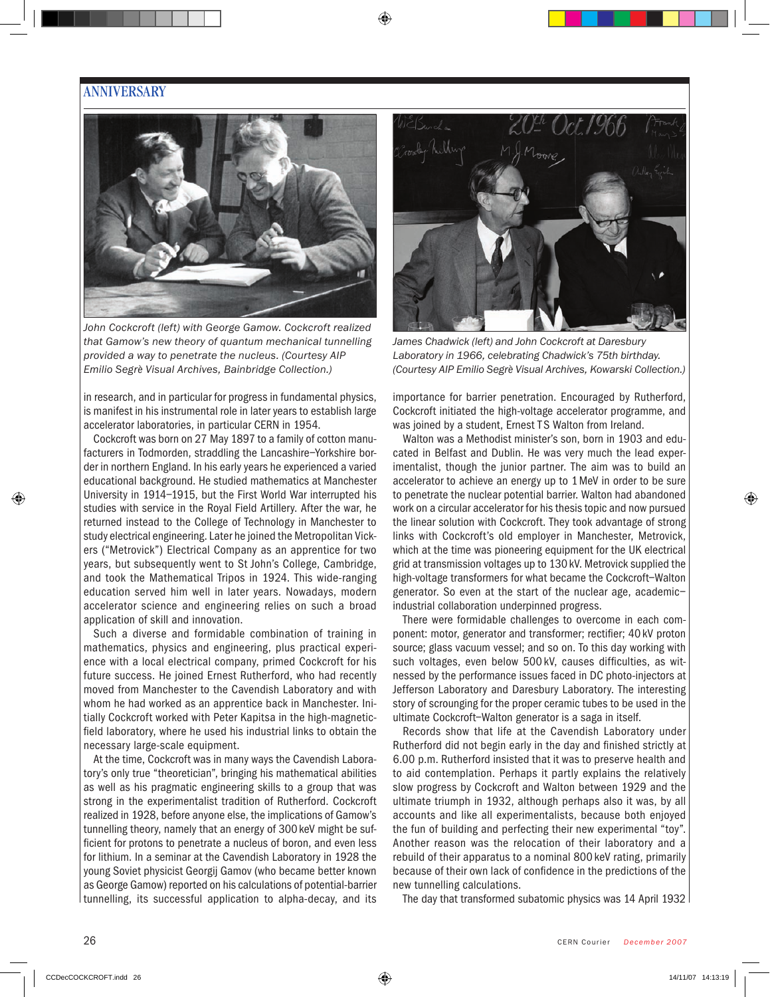#### **ANNIVERSARY**



*John Cockcroft (left) with George Gamow. Cockcroft realized that Gamow's new theory of quantum mechanical tunnelling provided a way to penetrate the nucleus. (Courtesy AIP Emilio Segrè Visual Archives, Bainbridge Collection.)*

in research, and in particular for progress in fundamental physics, is manifest in his instrumental role in later years to establish large accelerator laboratories, in particular CERN in 1954.

Cockcroft was born on 27 May 1897 to a family of cotton manufacturers in Todmorden, straddling the Lancashire–Yorkshire border in northern England. In his early years he experienced a varied educational background. He studied mathematics at Manchester University in 1914–1915, but the First World War interrupted his studies with service in the Royal Field Artillery. After the war, he returned instead to the College of Technology in Manchester to study electrical engineering. Later he joined the Metropolitan Vickers ("Metrovick") Electrical Company as an apprentice for two years, but subsequently went to St John's College, Cambridge, and took the Mathematical Tripos in 1924. This wide-ranging education served him well in later years. Nowadays, modern accelerator science and engineering relies on such a broad application of skill and innovation.

Such a diverse and formidable combination of training in mathematics, physics and engineering, plus practical experience with a local electrical company, primed Cockcroft for his future success. He joined Ernest Rutherford, who had recently moved from Manchester to the Cavendish Laboratory and with whom he had worked as an apprentice back in Manchester. Initially Cockcroft worked with Peter Kapitsa in the high-magneticfield laboratory, where he used his industrial links to obtain the necessary large-scale equipment.

At the time, Cockcroft was in many ways the Cavendish Laboratory's only true "theoretician", bringing his mathematical abilities as well as his pragmatic engineering skills to a group that was strong in the experimentalist tradition of Rutherford. Cockcroft realized in 1928, before anyone else, the implications of Gamow's tunnelling theory, namely that an energy of 300keV might be sufficient for protons to penetrate a nucleus of boron, and even less for lithium. In a seminar at the Cavendish Laboratory in 1928 the young Soviet physicist Georgij Gamov (who became better known as George Gamow) reported on his calculations of potential-barrier tunnelling, its successful application to alpha-decay, and its



*James Chadwick (left) and John Cockcroft at Daresbury Laboratory in 1966, celebrating Chadwick's 75th birthday. (Courtesy AIP Emilio Segrè Visual Archives, Kowarski Collection.)*

importance for barrier penetration. Encouraged by Rutherford, Cockcroft initiated the high-voltage accelerator programme, and was joined by a student, Ernest TS Walton from Ireland.

Walton was a Methodist minister's son, born in 1903 and educated in Belfast and Dublin. He was very much the lead experimentalist, though the junior partner. The aim was to build an accelerator to achieve an energy up to 1MeV in order to be sure to penetrate the nuclear potential barrier. Walton had abandoned work on a circular accelerator for his thesis topic and now pursued the linear solution with Cockcroft. They took advantage of strong links with Cockcroft's old employer in Manchester, Metrovick, which at the time was pioneering equipment for the UK electrical grid at transmission voltages up to 130kV. Metrovick supplied the high-voltage transformers for what became the Cockcroft–Walton generator. So even at the start of the nuclear age, academic– industrial collaboration underpinned progress.

There were formidable challenges to overcome in each component: motor, generator and transformer; rectifier; 40kV proton source; glass vacuum vessel; and so on. To this day working with such voltages, even below 500 kV, causes difficulties, as witnessed by the performance issues faced in DC photo-injectors at Jefferson Laboratory and Daresbury Laboratory. The interesting story of scrounging for the proper ceramic tubes to be used in the ultimate Cockcroft–Walton generator is a saga in itself.

Records show that life at the Cavendish Laboratory under Rutherford did not begin early in the day and finished strictly at 6.00 p.m. Rutherford insisted that it was to preserve health and to aid contemplation. Perhaps it partly explains the relatively slow progress by Cockcroft and Walton between 1929 and the ultimate triumph in 1932, although perhaps also it was, by all accounts and like all experimentalists, because both enjoyed the fun of building and perfecting their new experimental "toy". Another reason was the relocation of their laboratory and a rebuild of their apparatus to a nominal 800 keV rating, primarily because of their own lack of confidence in the predictions of the new tunnelling calculations.

The day that transformed subatomic physics was 14 April 1932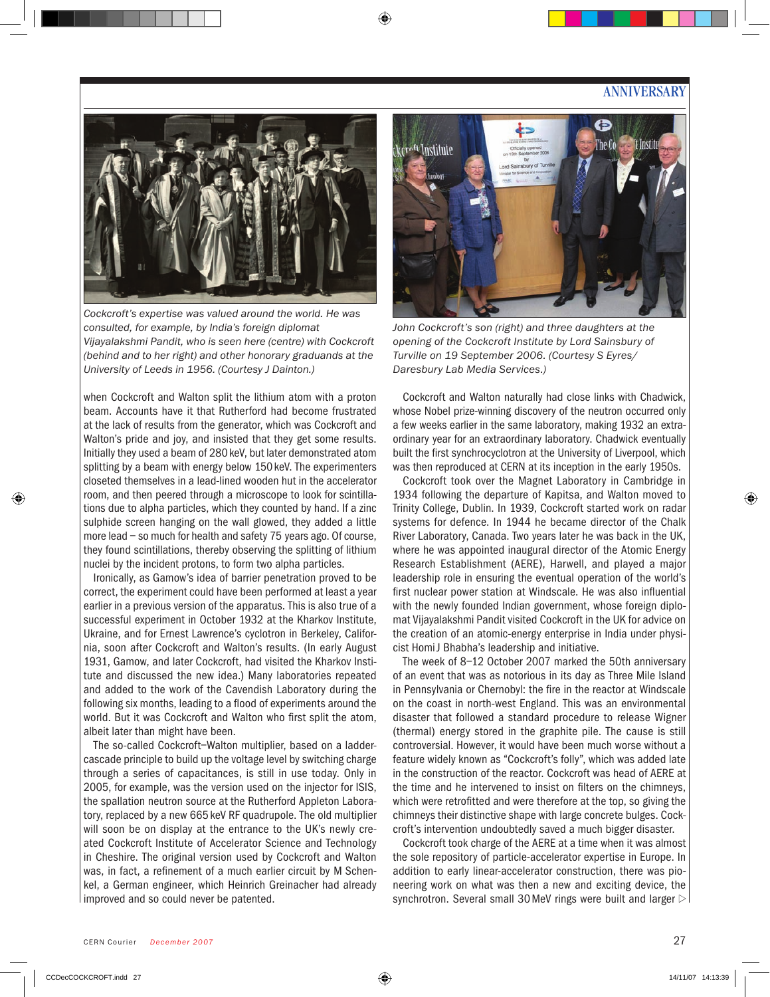#### **ANNIVERSARY**



*Cockcroft's expertise was valued around the world. He was consulted, for example, by India's foreign diplomat Vijayalakshmi Pandit, who is seen here (centre) with Cockcroft (behind and to her right) and other honorary graduands at the University of Leeds in 1956. (Courtesy J Dainton.)*

when Cockcroft and Walton split the lithium atom with a proton beam. Accounts have it that Rutherford had become frustrated at the lack of results from the generator, which was Cockcroft and Walton's pride and joy, and insisted that they get some results. Initially they used a beam of 280keV, but later demonstrated atom splitting by a beam with energy below 150 keV. The experimenters closeted themselves in a lead-lined wooden hut in the accelerator room, and then peered through a microscope to look for scintillations due to alpha particles, which they counted by hand. If a zinc sulphide screen hanging on the wall glowed, they added a little more lead – so much for health and safety 75 years ago. Of course, they found scintillations, thereby observing the splitting of lithium nuclei by the incident protons, to form two alpha particles.

Ironically, as Gamow's idea of barrier penetration proved to be correct, the experiment could have been performed at least a year earlier in a previous version of the apparatus. This is also true of a successful experiment in October 1932 at the Kharkov Institute, Ukraine, and for Ernest Lawrence's cyclotron in Berkeley, California, soon after Cockcroft and Walton's results. (In early August 1931, Gamow, and later Cockcroft, had visited the Kharkov Institute and discussed the new idea.) Many laboratories repeated and added to the work of the Cavendish Laboratory during the following six months, leading to a flood of experiments around the world. But it was Cockcroft and Walton who first split the atom, albeit later than might have been.

The so-called Cockcroft–Walton multiplier, based on a laddercascade principle to build up the voltage level by switching charge through a series of capacitances, is still in use today. Only in 2005, for example, was the version used on the injector for ISIS, the spallation neutron source at the Rutherford Appleton Laboratory, replaced by a new 665keV RF quadrupole. The old multiplier will soon be on display at the entrance to the UK's newly created Cockcroft Institute of Accelerator Science and Technology in Cheshire. The original version used by Cockcroft and Walton was, in fact, a refinement of a much earlier circuit by M Schenkel, a German engineer, which Heinrich Greinacher had already improved and so could never be patented.



*John Cockcroft's son (right) and three daughters at the opening of the Cockcroft Institute by Lord Sainsbury of Turville on 19 September 2006. (Courtesy S Eyres/ Daresbury Lab Media Services.)*

Cockcroft and Walton naturally had close links with Chadwick, whose Nobel prize-winning discovery of the neutron occurred only a few weeks earlier in the same laboratory, making 1932 an extraordinary year for an extraordinary laboratory. Chadwick eventually built the first synchrocyclotron at the University of Liverpool, which was then reproduced at CERN at its inception in the early 1950s.

Cockcroft took over the Magnet Laboratory in Cambridge in 1934 following the departure of Kapitsa, and Walton moved to Trinity College, Dublin. In 1939, Cockcroft started work on radar systems for defence. In 1944 he became director of the Chalk River Laboratory, Canada. Two years later he was back in the UK, where he was appointed inaugural director of the Atomic Energy Research Establishment (AERE), Harwell, and played a major leadership role in ensuring the eventual operation of the world's first nuclear power station at Windscale. He was also influential with the newly founded Indian government, whose foreign diplomat Vijayalakshmi Pandit visited Cockcroft in the UK for advice on the creation of an atomic-energy enterprise in India under physicist HomiJ Bhabha's leadership and initiative.

The week of 8–12 October 2007 marked the 50th anniversary of an event that was as notorious in its day as Three Mile Island in Pennsylvania or Chernobyl: the fire in the reactor at Windscale on the coast in north-west England. This was an environmental disaster that followed a standard procedure to release Wigner (thermal) energy stored in the graphite pile. The cause is still controversial. However, it would have been much worse without a feature widely known as "Cockcroft's folly", which was added late in the construction of the reactor. Cockcroft was head of AERE at the time and he intervened to insist on filters on the chimneys, which were retrofitted and were therefore at the top, so giving the chimneys their distinctive shape with large concrete bulges. Cockcroft's intervention undoubtedly saved a much bigger disaster.

Cockcroft took charge of the AERE at a time when it was almost the sole repository of particle-accelerator expertise in Europe. In addition to early linear-accelerator construction, there was pioneering work on what was then a new and exciting device, the synchrotron. Several small 30 MeV rings were built and larger  $\triangleright$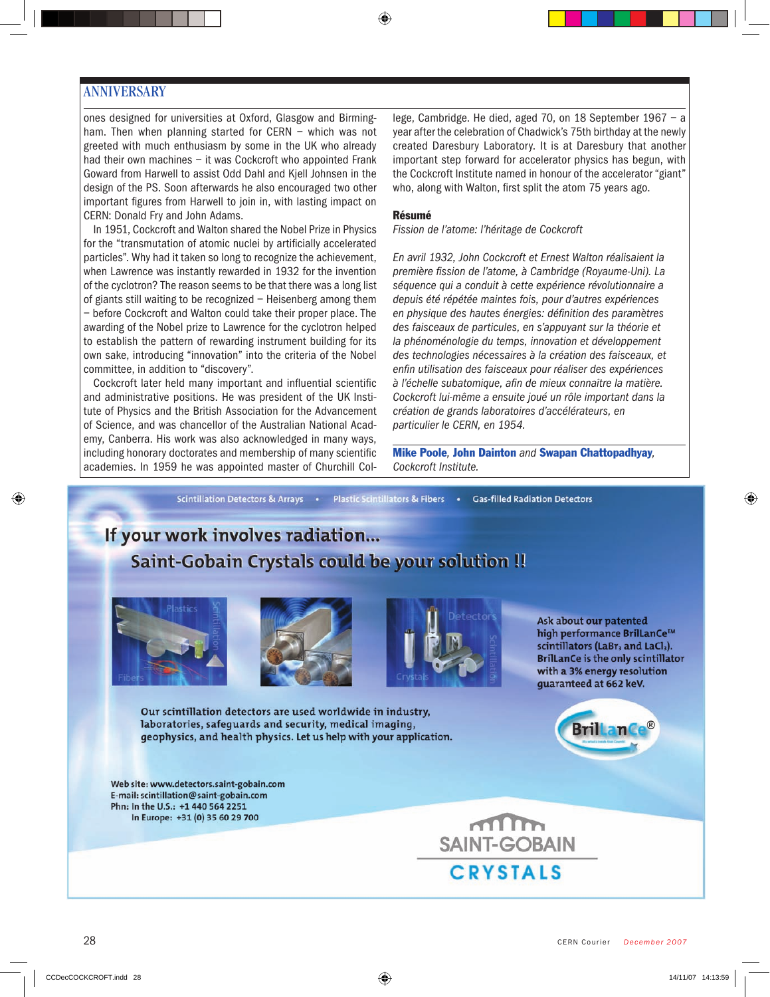#### **ANNIVERSARY**

ones designed for universities at Oxford, Glasgow and Birmingham. Then when planning started for CERN - which was not greeted with much enthusiasm by some in the UK who already had their own machines - it was Cockcroft who appointed Frank Goward from Harwell to assist Odd Dahl and Kjell Johnsen in the design of the PS. Soon afterwards he also encouraged two other important figures from Harwell to join in, with lasting impact on CERN: Donald Fry and John Adams.

In 1951, Cockcroft and Walton shared the Nobel Prize in Physics for the "transmutation of atomic nuclei by artificially accelerated particles". Why had it taken so long to recognize the achievement, when Lawrence was instantly rewarded in 1932 for the invention of the cyclotron? The reason seems to be that there was a long list of giants still waiting to be recognized – Heisenberg among them – before Cockcroft and Walton could take their proper place. The awarding of the Nobel prize to Lawrence for the cyclotron helped to establish the pattern of rewarding instrument building for its own sake, introducing "innovation" into the criteria of the Nobel committee, in addition to "discovery".

Cockcroft later held many important and influential scientific and administrative positions. He was president of the UK Institute of Physics and the British Association for the Advancement of Science, and was chancellor of the Australian National Academy, Canberra. His work was also acknowledged in many ways, including honorary doctorates and membership of many scientific academies. In 1959 he was appointed master of Churchill College, Cambridge. He died, aged 70, on 18 September 1967 – a year after the celebration of Chadwick's 75th birthday at the newly created Daresbury Laboratory. It is at Daresbury that another important step forward for accelerator physics has begun, with the Cockcroft Institute named in honour of the accelerator "giant" who, along with Walton, first split the atom 75 years ago.

#### Résumé

*Fission de l'atome: l'héritage de Cockcroft*

*En avril 1932, John Cockcroft et Ernest Walton réalisaient la première fission de l'atome, à Cambridge (Royaume-Uni). La séquence qui a conduit à cette expérience révolutionnaire a depuis été répétée maintes fois, pour d'autres expériences en physique des hautes énergies: définition des paramètres des faisceaux de particules, en s'appuyant sur la théorie et la phénoménologie du temps, innovation et développement des technologies nécessaires à la création des faisceaux, et enfin utilisation des faisceaux pour réaliser des expériences à l'échelle subatomique, afin de mieux connaître la matière. Cockcroft lui-même a ensuite joué un rôle important dans la création de grands laboratoires d'accélérateurs, en particulier le CERN, en 1954.* 

Mike Poole*,* John Dainton *and* Swapan Chattopadhyay*, Cockcroft Institute.*

Scintillation Detectors & Arrays . Plastic Scintillators & Fibers . Gas-filled Radiation Detectors

### If your work involves radiation... Saint-Gobain Crystals could be your solution !!







Ask about our patented high performance BrilLanCe™ scintillators (LaBr<sub>3</sub> and LaCl<sub>3</sub>). **BrillanCe is the only scintillator** with a 3% energy resolution quaranteed at 662 keV.

Our scintillation detectors are used worldwide in industry, laboratories, safeguards and security, medical imaging, geophysics, and health physics. Let us help with your application.

Web site: www.detectors.saint-gobain.com E-mail: scintillation@saint-gobain.com Phn: In the U.S.: +1 440 564 2251 In Europe: +31 (0) 35 60 29 700